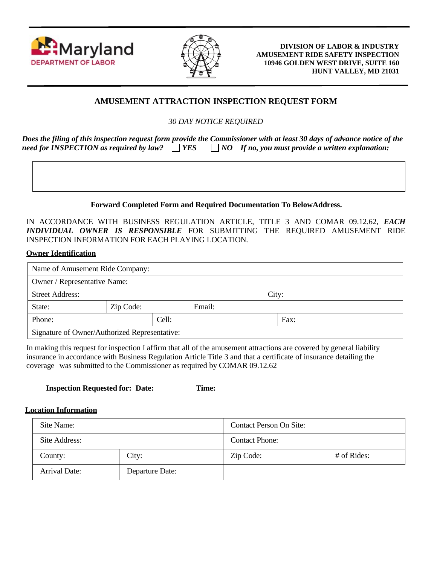



**DIVISION OF LABOR & INDUSTRY AMUSEMENT RIDE SAFETY INSPECTION 10946 GOLDEN WEST DRIVE, SUITE 160 HUNT VALLEY, MD 21031**

# **AMUSEMENT ATTRACTION INSPECTION REQUEST FORM**

*30 DAY NOTICE REQUIRED*

*Does the filing of this inspection request form provide the Commissioner with at least 30 days of advance notice of the need for INSPECTION as required by law?*  $\Box$  *YES*  $\Box$  *NO If no, you must provide a written explanation:* 

## **Forward Completed Form and Required Documentation To BelowAddress.**

IN ACCORDANCE WITH BUSINESS REGULATION ARTICLE, TITLE 3 AND COMAR 09.12.62, *EACH INDIVIDUAL OWNER IS RESPONSIBLE* FOR SUBMITTING THE REQUIRED AMUSEMENT RIDE INSPECTION INFORMATION FOR EACH PLAYING LOCATION.

### **Owner Identification**

| Name of Amusement Ride Company:               |           |        |       |  |      |  |  |
|-----------------------------------------------|-----------|--------|-------|--|------|--|--|
| Owner / Representative Name:                  |           |        |       |  |      |  |  |
| <b>Street Address:</b>                        |           |        | City: |  |      |  |  |
| State:                                        | Zip Code: | Email: |       |  |      |  |  |
| Phone:                                        |           | Cell:  |       |  | Fax: |  |  |
| Signature of Owner/Authorized Representative: |           |        |       |  |      |  |  |

In making this request for inspection I affirm that all of the amusement attractions are covered by general liability insurance in accordance with Business Regulation Article Title 3 and that a certificate of insurance detailing the coverage was submitted to the Commissioner as required by COMAR 09.12.62

| <b>Inspection Requested for: Date:</b> |  | Time: |
|----------------------------------------|--|-------|
|----------------------------------------|--|-------|

### **Location Information**

| Site Name:    |                 | Contact Person On Site: |             |  |
|---------------|-----------------|-------------------------|-------------|--|
| Site Address: |                 | <b>Contact Phone:</b>   |             |  |
| County:       | City:           | Zip Code:               | # of Rides: |  |
| Arrival Date: | Departure Date: |                         |             |  |